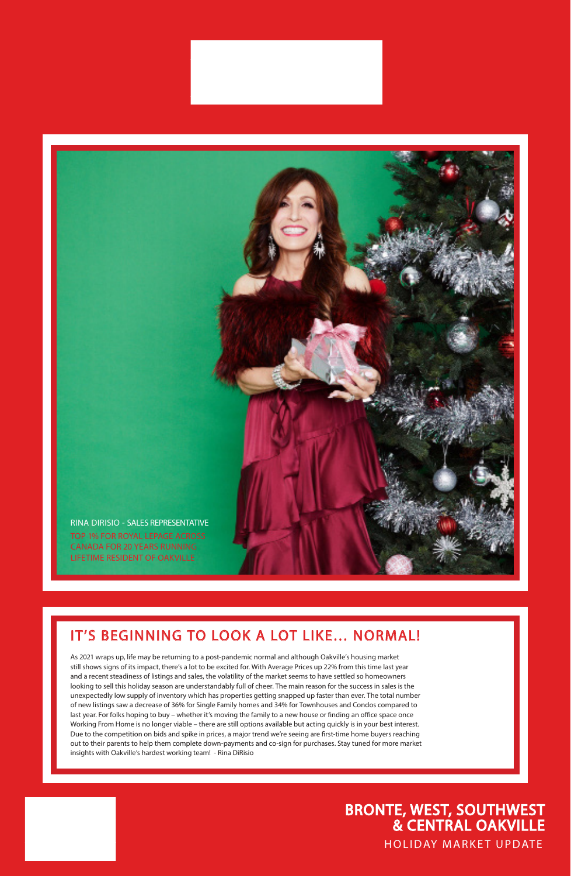### HOLIDAY MARKET UPDATE BRONTE, WEST, SOUTHWEST & CENTRAL OAKVILLE

## IT'S BEGINNING TO LOOK A LOT LIKE… NORMAL!

As 2021 wraps up, life may be returning to a post-pandemic normal and although Oakville's housing market

still shows signs of its impact, there's a lot to be excited for. With Average Prices up 22% from this time last year and a recent steadiness of listings and sales, the volatility of the market seems to have settled so homeowners looking to sell this holiday season are understandably full of cheer. The main reason for the success in sales is the unexpectedly low supply of inventory which has properties getting snapped up faster than ever. The total number of new listings saw a decrease of 36% for Single Family homes and 34% for Townhouses and Condos compared to last year. For folks hoping to buy – whether it's moving the family to a new house or finding an office space once Working From Home is no longer viable – there are still options available but acting quickly is in your best interest. Due to the competition on bids and spike in prices, a major trend we're seeing are first-time home buyers reaching out to their parents to help them complete down-payments and co-sign for purchases. Stay tuned for more market insights with Oakville's hardest working team! - Rina DiRisio